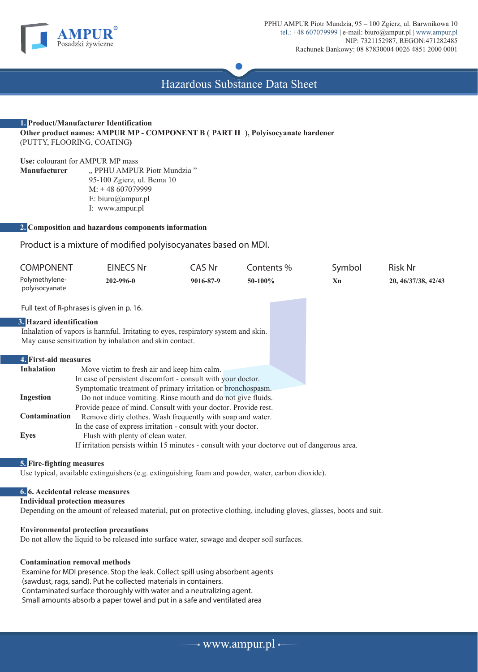

Hazardous Substance Data Sheet

# **1. Product/Manufacturer Identification Other product names: AMPUR MP - COMPONENT B ( PART II ), Polyisocyanate hardener** (PUTTY, FLOORING, COATING**)**

**Use:** colourant for AMPUR MP mass " PPHU AMPUR Piotr Mundzia " 95-100 Zgierz, ul. Bema 10 M: + 48 607079999 E: biuro@ampur.pl I: www.ampur.pl

# **2. Composition and hazardous components information**

Product is a mixture of modified polyisocyanates based on MDI.

| <b>COMPONENT</b>                                                                  | <b>EINECS Nr</b>                                                                             | CAS Nr    | Contents % | Symbol | <b>Risk Nr</b>      |
|-----------------------------------------------------------------------------------|----------------------------------------------------------------------------------------------|-----------|------------|--------|---------------------|
| Polymethylene-<br>polyisocyanate                                                  | 202-996-0                                                                                    | 9016-87-9 | 50-100%    | Xn     | 20, 46/37/38, 42/43 |
|                                                                                   | Full text of R-phrases is given in p. 16.                                                    |           |            |        |                     |
| 3. Hazard identification                                                          |                                                                                              |           |            |        |                     |
| Inhalation of vapors is harmful. Irritating to eyes, respiratory system and skin. |                                                                                              |           |            |        |                     |
| May cause sensitization by inhalation and skin contact.                           |                                                                                              |           |            |        |                     |
|                                                                                   |                                                                                              |           |            |        |                     |
| 4. First-aid measures                                                             |                                                                                              |           |            |        |                     |
| <b>Inhalation</b>                                                                 | Move victim to fresh air and keep him calm.                                                  |           |            |        |                     |
|                                                                                   | In case of persistent discomfort - consult with your doctor.                                 |           |            |        |                     |
|                                                                                   | Symptomatic treatment of primary irritation or bronchospasm.                                 |           |            |        |                     |
| <b>Ingestion</b>                                                                  | Do not induce vomiting. Rinse mouth and do not give fluids.                                  |           |            |        |                     |
|                                                                                   | Provide peace of mind. Consult with your doctor. Provide rest.                               |           |            |        |                     |
| <b>Contamination</b>                                                              | Remove dirty clothes. Wash frequently with soap and water.                                   |           |            |        |                     |
|                                                                                   | In the case of express irritation - consult with your doctor.                                |           |            |        |                     |
| <b>Eyes</b>                                                                       | Flush with plenty of clean water.                                                            |           |            |        |                     |
|                                                                                   | If irritation persists within 15 minutes - consult with your doctorve out of dangerous area. |           |            |        |                     |

#### **5. Fire-fighting measures**

Use typical, available extinguishers (e.g. extinguishing foam and powder, water, carbon dioxide).

# **6. 6. Accidental release measures**

**Individual protection measures**

Depending on the amount of released material, put on protective clothing, including gloves, glasses, boots and suit.

#### **Environmental protection precautions**

Do not allow the liquid to be released into surface water, sewage and deeper soil surfaces.

#### **Contamination removal methods**

Examine for MDI presence. Stop the leak. Collect spill using absorbent agents (sawdust, rags, sand). Put he collected materials in containers. Contaminated surface thoroughly with water and a neutralizing agent. Small amounts absorb a paper towel and put in a safe and ventilated area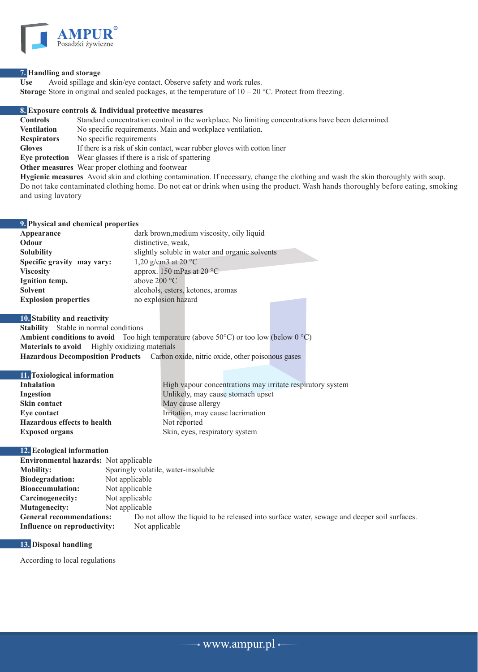

### **7. Handling and storage**

Use Avoid spillage and skin/eye contact. Observe safety and work rules. **Storage** Store in original and sealed packages, at the temperature of  $10 - 20$  °C. Protect from freezing.

# **8. Exposure controls & Individual protective measures**

**Controls** Standard concentration control in the workplace. No limiting concentrations have been determined. **Ventilation** No specific requirements. Main and workplace ventilation. **Respirators** No specific requirements **Gloves** If there is a risk of skin contact, wear rubber gloves with cotton liner **Eye protection** Wear glasses if there is a risk of spattering **Other measures** Wear proper clothing and footwear

**Hygienic measures** Avoid skin and clothing contamination. If necessary, change the clothing and wash the skin thoroughly with soap. Do not take contaminated clothing home. Do not eat or drink when using the product. Wash hands thoroughly before eating, smoking and using lavatory

#### **9. Physical and chemical properties**

| Appearance                  | dark brown, medium viscosity, oily liquid      |
|-----------------------------|------------------------------------------------|
| Odour                       | distinctive, weak,                             |
| <b>Solubility</b>           | slightly soluble in water and organic solvents |
| Specific gravity may vary:  | 1,20 g/cm3 at 20 $^{\circ}$ C                  |
| <b>Viscosity</b>            | approx. 150 mPas at 20 $^{\circ}$ C            |
| Ignition temp.              | above $200 °C$                                 |
| <b>Solvent</b>              | alcohols, esters, ketones, aromas              |
| <b>Explosion properties</b> | no explosion hazard                            |
|                             |                                                |

#### **10. Stability and reactivity**

**Stability** Stable in normal conditions **Ambient conditions to avoid** Too high temperature (above 50°C) or too low (below  $0 °C$ ) **Materials to avoid** Highly oxidizing materials **Hazardous Decomposition Products** Carbon oxide, nitric oxide, other poisonous gases

# **11. Toxiological information**

| п. гохіогодісат пітог шайон        |                                                            |
|------------------------------------|------------------------------------------------------------|
| <b>Inhalation</b>                  | High vapour concentrations may irritate respiratory system |
| Ingestion                          | Unlikely, may cause stomach upset                          |
| Skin contact                       | May cause allergy                                          |
| Eve contact                        | Irritation, may cause lacrimation                          |
| <b>Hazardous effects to health</b> | Not reported                                               |
| <b>Exposed organs</b>              | Skin, eyes, respiratory system                             |
|                                    |                                                            |

# **12. Ecological information**

| <b>Environmental hazards:</b> Not applicable |                                                                                             |  |  |
|----------------------------------------------|---------------------------------------------------------------------------------------------|--|--|
| <b>Mobility:</b>                             | Sparingly volatile, water-insoluble                                                         |  |  |
| <b>Biodegradation:</b>                       | Not applicable                                                                              |  |  |
| <b>Bioaccumulation:</b>                      | Not applicable                                                                              |  |  |
| Carcinogenecity:                             | Not applicable                                                                              |  |  |
| Mutagenecity:                                | Not applicable                                                                              |  |  |
| <b>General recommendations:</b>              | Do not allow the liquid to be released into surface water, sewage and deeper soil surfaces. |  |  |
| Influence on reproductivity:                 | Not applicable                                                                              |  |  |

# **13. Disposal handling**

According to local regulations